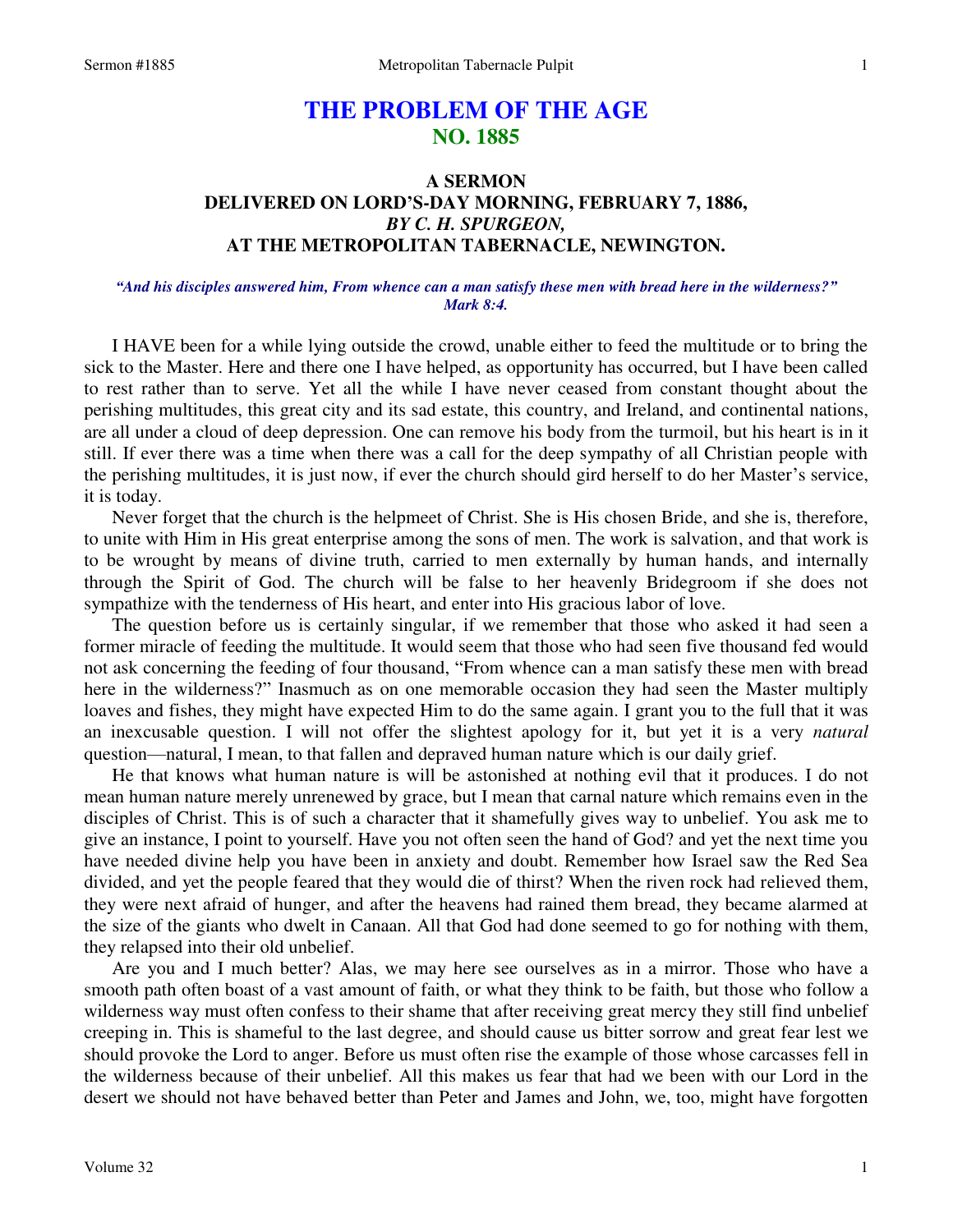# **THE PROBLEM OF THE AGE NO. 1885**

# **A SERMON DELIVERED ON LORD'S-DAY MORNING, FEBRUARY 7, 1886,**  *BY C. H. SPURGEON,*  **AT THE METROPOLITAN TABERNACLE, NEWINGTON.**

### *"And his disciples answered him, From whence can a man satisfy these men with bread here in the wilderness?" Mark 8:4.*

I HAVE been for a while lying outside the crowd, unable either to feed the multitude or to bring the sick to the Master. Here and there one I have helped, as opportunity has occurred, but I have been called to rest rather than to serve. Yet all the while I have never ceased from constant thought about the perishing multitudes, this great city and its sad estate, this country, and Ireland, and continental nations, are all under a cloud of deep depression. One can remove his body from the turmoil, but his heart is in it still. If ever there was a time when there was a call for the deep sympathy of all Christian people with the perishing multitudes, it is just now, if ever the church should gird herself to do her Master's service, it is today.

 Never forget that the church is the helpmeet of Christ. She is His chosen Bride, and she is, therefore, to unite with Him in His great enterprise among the sons of men. The work is salvation, and that work is to be wrought by means of divine truth, carried to men externally by human hands, and internally through the Spirit of God. The church will be false to her heavenly Bridegroom if she does not sympathize with the tenderness of His heart, and enter into His gracious labor of love.

 The question before us is certainly singular, if we remember that those who asked it had seen a former miracle of feeding the multitude. It would seem that those who had seen five thousand fed would not ask concerning the feeding of four thousand, "From whence can a man satisfy these men with bread here in the wilderness?" Inasmuch as on one memorable occasion they had seen the Master multiply loaves and fishes, they might have expected Him to do the same again. I grant you to the full that it was an inexcusable question. I will not offer the slightest apology for it, but yet it is a very *natural* question—natural, I mean, to that fallen and depraved human nature which is our daily grief.

 He that knows what human nature is will be astonished at nothing evil that it produces. I do not mean human nature merely unrenewed by grace, but I mean that carnal nature which remains even in the disciples of Christ. This is of such a character that it shamefully gives way to unbelief. You ask me to give an instance, I point to yourself. Have you not often seen the hand of God? and yet the next time you have needed divine help you have been in anxiety and doubt. Remember how Israel saw the Red Sea divided, and yet the people feared that they would die of thirst? When the riven rock had relieved them, they were next afraid of hunger, and after the heavens had rained them bread, they became alarmed at the size of the giants who dwelt in Canaan. All that God had done seemed to go for nothing with them, they relapsed into their old unbelief.

 Are you and I much better? Alas, we may here see ourselves as in a mirror. Those who have a smooth path often boast of a vast amount of faith, or what they think to be faith, but those who follow a wilderness way must often confess to their shame that after receiving great mercy they still find unbelief creeping in. This is shameful to the last degree, and should cause us bitter sorrow and great fear lest we should provoke the Lord to anger. Before us must often rise the example of those whose carcasses fell in the wilderness because of their unbelief. All this makes us fear that had we been with our Lord in the desert we should not have behaved better than Peter and James and John, we, too, might have forgotten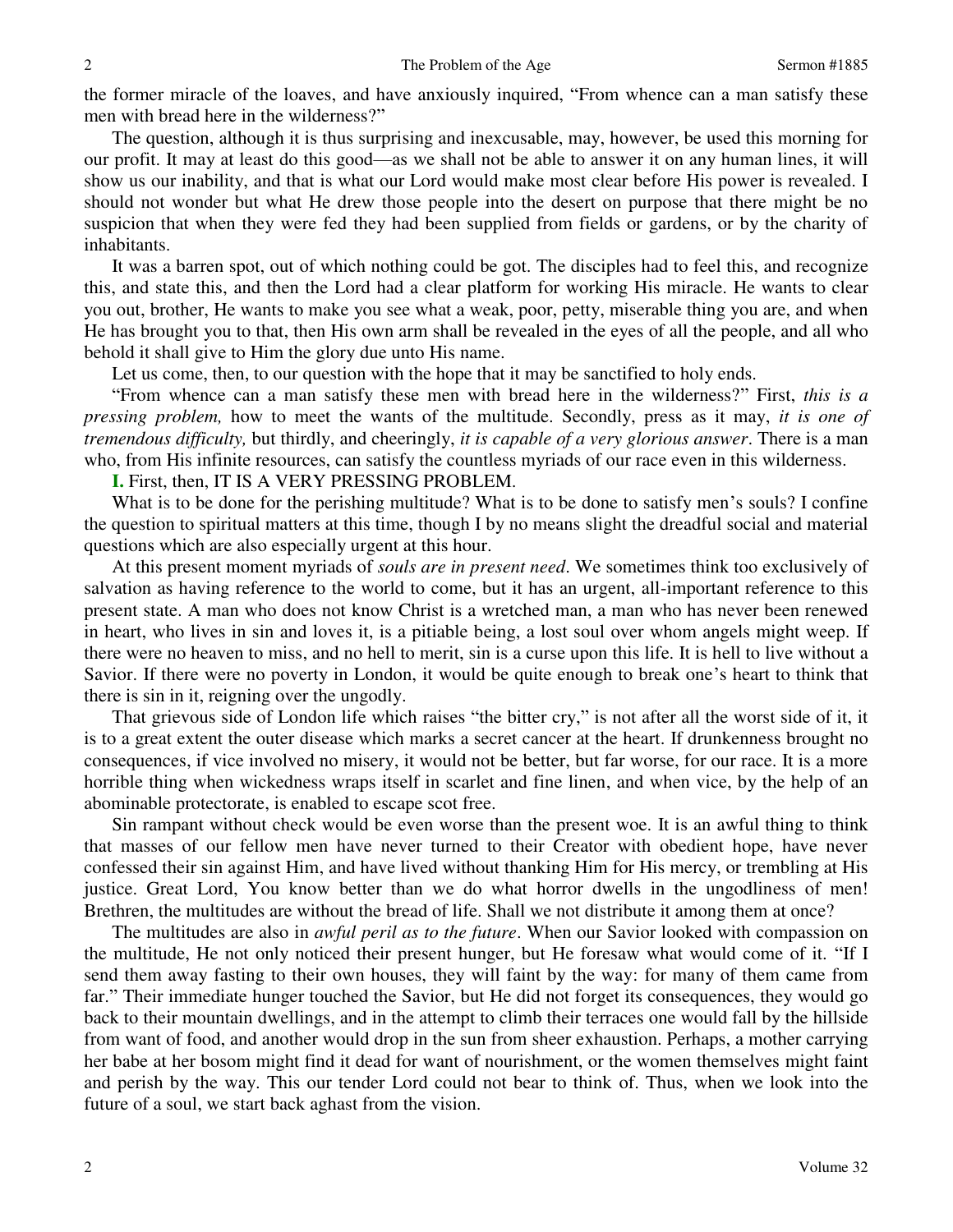the former miracle of the loaves, and have anxiously inquired, "From whence can a man satisfy these men with bread here in the wilderness?"

 The question, although it is thus surprising and inexcusable, may, however, be used this morning for our profit. It may at least do this good—as we shall not be able to answer it on any human lines, it will show us our inability, and that is what our Lord would make most clear before His power is revealed. I should not wonder but what He drew those people into the desert on purpose that there might be no suspicion that when they were fed they had been supplied from fields or gardens, or by the charity of inhabitants.

 It was a barren spot, out of which nothing could be got. The disciples had to feel this, and recognize this, and state this, and then the Lord had a clear platform for working His miracle. He wants to clear you out, brother, He wants to make you see what a weak, poor, petty, miserable thing you are, and when He has brought you to that, then His own arm shall be revealed in the eyes of all the people, and all who behold it shall give to Him the glory due unto His name.

Let us come, then, to our question with the hope that it may be sanctified to holy ends.

"From whence can a man satisfy these men with bread here in the wilderness?" First, *this is a pressing problem,* how to meet the wants of the multitude. Secondly, press as it may, *it is one of tremendous difficulty,* but thirdly, and cheeringly, *it is capable of a very glorious answer*. There is a man who, from His infinite resources, can satisfy the countless myriads of our race even in this wilderness.

**I.** First, then, IT IS A VERY PRESSING PROBLEM.

What is to be done for the perishing multitude? What is to be done to satisfy men's souls? I confine the question to spiritual matters at this time, though I by no means slight the dreadful social and material questions which are also especially urgent at this hour.

 At this present moment myriads of *souls are in present need*. We sometimes think too exclusively of salvation as having reference to the world to come, but it has an urgent, all-important reference to this present state. A man who does not know Christ is a wretched man, a man who has never been renewed in heart, who lives in sin and loves it, is a pitiable being, a lost soul over whom angels might weep. If there were no heaven to miss, and no hell to merit, sin is a curse upon this life. It is hell to live without a Savior. If there were no poverty in London, it would be quite enough to break one's heart to think that there is sin in it, reigning over the ungodly.

 That grievous side of London life which raises "the bitter cry," is not after all the worst side of it, it is to a great extent the outer disease which marks a secret cancer at the heart. If drunkenness brought no consequences, if vice involved no misery, it would not be better, but far worse, for our race. It is a more horrible thing when wickedness wraps itself in scarlet and fine linen, and when vice, by the help of an abominable protectorate, is enabled to escape scot free.

 Sin rampant without check would be even worse than the present woe. It is an awful thing to think that masses of our fellow men have never turned to their Creator with obedient hope, have never confessed their sin against Him, and have lived without thanking Him for His mercy, or trembling at His justice. Great Lord, You know better than we do what horror dwells in the ungodliness of men! Brethren, the multitudes are without the bread of life. Shall we not distribute it among them at once?

 The multitudes are also in *awful peril as to the future*. When our Savior looked with compassion on the multitude, He not only noticed their present hunger, but He foresaw what would come of it. "If I send them away fasting to their own houses, they will faint by the way: for many of them came from far." Their immediate hunger touched the Savior, but He did not forget its consequences, they would go back to their mountain dwellings, and in the attempt to climb their terraces one would fall by the hillside from want of food, and another would drop in the sun from sheer exhaustion. Perhaps, a mother carrying her babe at her bosom might find it dead for want of nourishment, or the women themselves might faint and perish by the way. This our tender Lord could not bear to think of. Thus, when we look into the future of a soul, we start back aghast from the vision.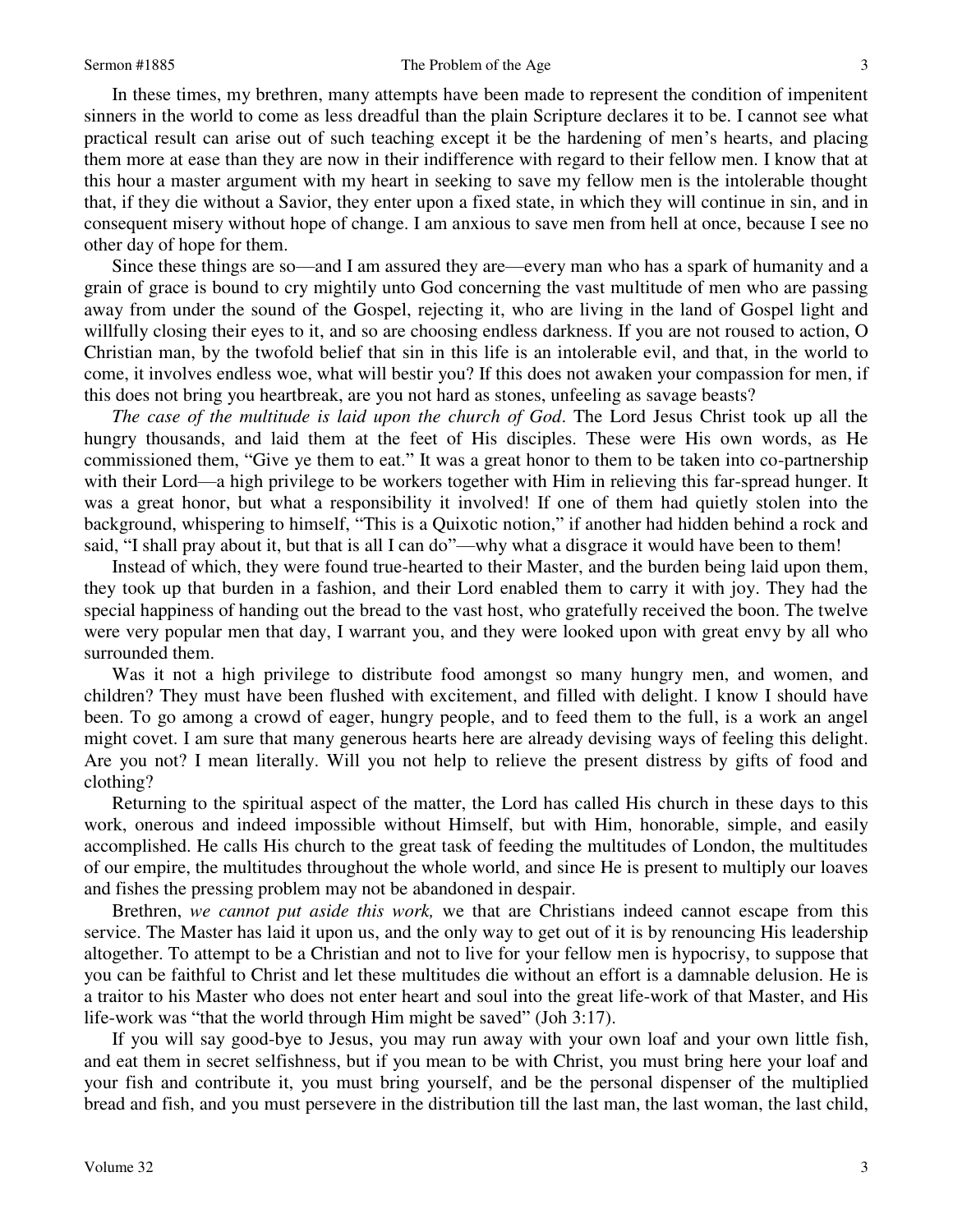### Sermon #1885 3 3

 In these times, my brethren, many attempts have been made to represent the condition of impenitent sinners in the world to come as less dreadful than the plain Scripture declares it to be. I cannot see what practical result can arise out of such teaching except it be the hardening of men's hearts, and placing them more at ease than they are now in their indifference with regard to their fellow men. I know that at this hour a master argument with my heart in seeking to save my fellow men is the intolerable thought that, if they die without a Savior, they enter upon a fixed state, in which they will continue in sin, and in consequent misery without hope of change. I am anxious to save men from hell at once, because I see no other day of hope for them.

 Since these things are so—and I am assured they are—every man who has a spark of humanity and a grain of grace is bound to cry mightily unto God concerning the vast multitude of men who are passing away from under the sound of the Gospel, rejecting it, who are living in the land of Gospel light and willfully closing their eyes to it, and so are choosing endless darkness. If you are not roused to action, O Christian man, by the twofold belief that sin in this life is an intolerable evil, and that, in the world to come, it involves endless woe, what will bestir you? If this does not awaken your compassion for men, if this does not bring you heartbreak, are you not hard as stones, unfeeling as savage beasts?

*The case of the multitude is laid upon the church of God*. The Lord Jesus Christ took up all the hungry thousands, and laid them at the feet of His disciples. These were His own words, as He commissioned them, "Give ye them to eat." It was a great honor to them to be taken into co-partnership with their Lord—a high privilege to be workers together with Him in relieving this far-spread hunger. It was a great honor, but what a responsibility it involved! If one of them had quietly stolen into the background, whispering to himself, "This is a Quixotic notion," if another had hidden behind a rock and said, "I shall pray about it, but that is all I can do"—why what a disgrace it would have been to them!

 Instead of which, they were found true-hearted to their Master, and the burden being laid upon them, they took up that burden in a fashion, and their Lord enabled them to carry it with joy. They had the special happiness of handing out the bread to the vast host, who gratefully received the boon. The twelve were very popular men that day, I warrant you, and they were looked upon with great envy by all who surrounded them.

 Was it not a high privilege to distribute food amongst so many hungry men, and women, and children? They must have been flushed with excitement, and filled with delight. I know I should have been. To go among a crowd of eager, hungry people, and to feed them to the full, is a work an angel might covet. I am sure that many generous hearts here are already devising ways of feeling this delight. Are you not? I mean literally. Will you not help to relieve the present distress by gifts of food and clothing?

 Returning to the spiritual aspect of the matter, the Lord has called His church in these days to this work, onerous and indeed impossible without Himself, but with Him, honorable, simple, and easily accomplished. He calls His church to the great task of feeding the multitudes of London, the multitudes of our empire, the multitudes throughout the whole world, and since He is present to multiply our loaves and fishes the pressing problem may not be abandoned in despair.

 Brethren, *we cannot put aside this work,* we that are Christians indeed cannot escape from this service. The Master has laid it upon us, and the only way to get out of it is by renouncing His leadership altogether. To attempt to be a Christian and not to live for your fellow men is hypocrisy, to suppose that you can be faithful to Christ and let these multitudes die without an effort is a damnable delusion. He is a traitor to his Master who does not enter heart and soul into the great life-work of that Master, and His life-work was "that the world through Him might be saved" (Joh 3:17).

 If you will say good-bye to Jesus, you may run away with your own loaf and your own little fish, and eat them in secret selfishness, but if you mean to be with Christ, you must bring here your loaf and your fish and contribute it, you must bring yourself, and be the personal dispenser of the multiplied bread and fish, and you must persevere in the distribution till the last man, the last woman, the last child,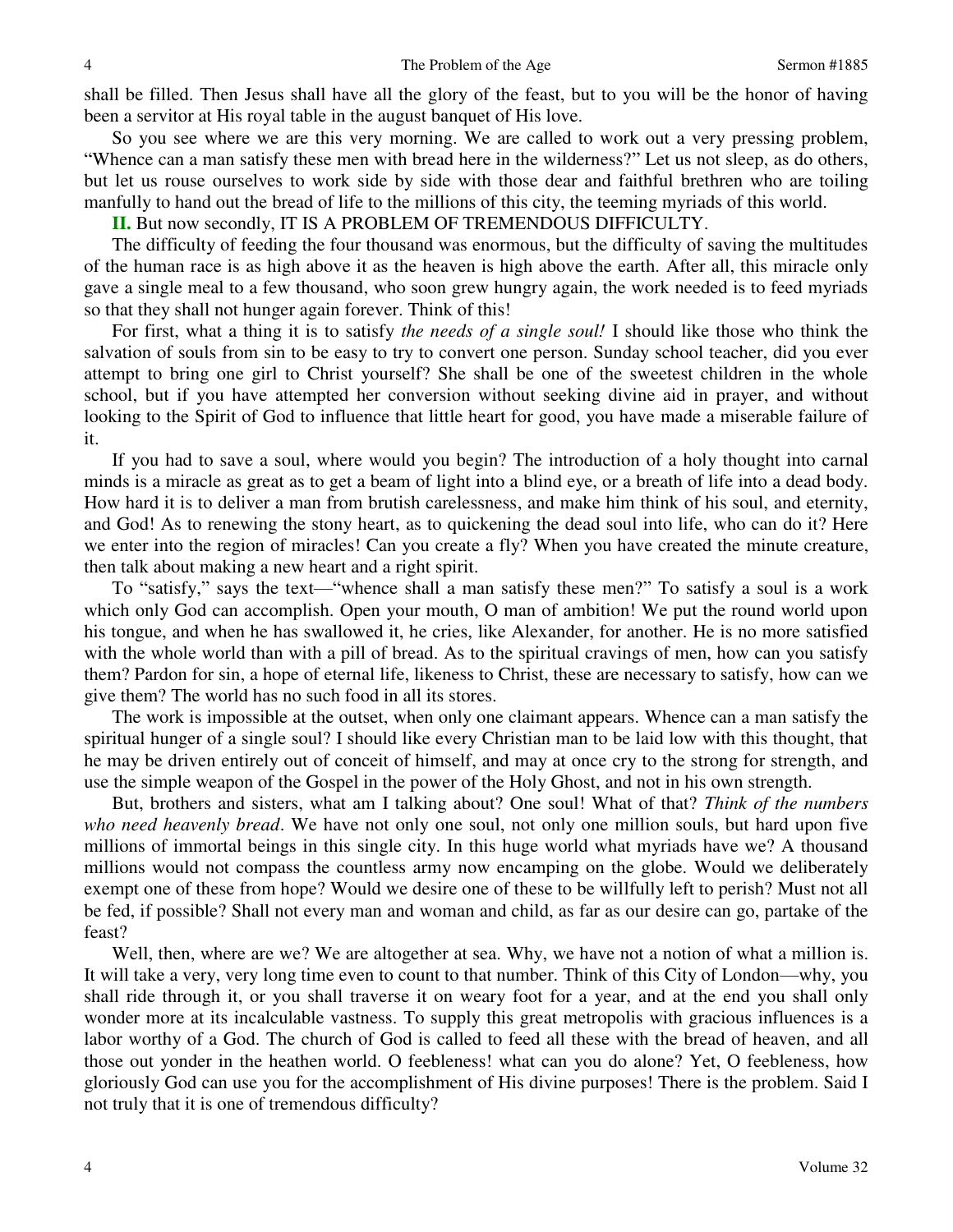shall be filled. Then Jesus shall have all the glory of the feast, but to you will be the honor of having been a servitor at His royal table in the august banquet of His love.

 So you see where we are this very morning. We are called to work out a very pressing problem, "Whence can a man satisfy these men with bread here in the wilderness?" Let us not sleep, as do others, but let us rouse ourselves to work side by side with those dear and faithful brethren who are toiling manfully to hand out the bread of life to the millions of this city, the teeming myriads of this world.

**II.** But now secondly, IT IS A PROBLEM OF TREMENDOUS DIFFICULTY.

 The difficulty of feeding the four thousand was enormous, but the difficulty of saving the multitudes of the human race is as high above it as the heaven is high above the earth. After all, this miracle only gave a single meal to a few thousand, who soon grew hungry again, the work needed is to feed myriads so that they shall not hunger again forever. Think of this!

 For first, what a thing it is to satisfy *the needs of a single soul!* I should like those who think the salvation of souls from sin to be easy to try to convert one person. Sunday school teacher, did you ever attempt to bring one girl to Christ yourself? She shall be one of the sweetest children in the whole school, but if you have attempted her conversion without seeking divine aid in prayer, and without looking to the Spirit of God to influence that little heart for good, you have made a miserable failure of it.

 If you had to save a soul, where would you begin? The introduction of a holy thought into carnal minds is a miracle as great as to get a beam of light into a blind eye, or a breath of life into a dead body. How hard it is to deliver a man from brutish carelessness, and make him think of his soul, and eternity, and God! As to renewing the stony heart, as to quickening the dead soul into life, who can do it? Here we enter into the region of miracles! Can you create a fly? When you have created the minute creature, then talk about making a new heart and a right spirit.

 To "satisfy," says the text—"whence shall a man satisfy these men?" To satisfy a soul is a work which only God can accomplish. Open your mouth, O man of ambition! We put the round world upon his tongue, and when he has swallowed it, he cries, like Alexander, for another. He is no more satisfied with the whole world than with a pill of bread. As to the spiritual cravings of men, how can you satisfy them? Pardon for sin, a hope of eternal life, likeness to Christ, these are necessary to satisfy, how can we give them? The world has no such food in all its stores.

 The work is impossible at the outset, when only one claimant appears. Whence can a man satisfy the spiritual hunger of a single soul? I should like every Christian man to be laid low with this thought, that he may be driven entirely out of conceit of himself, and may at once cry to the strong for strength, and use the simple weapon of the Gospel in the power of the Holy Ghost, and not in his own strength.

 But, brothers and sisters, what am I talking about? One soul! What of that? *Think of the numbers who need heavenly bread*. We have not only one soul, not only one million souls, but hard upon five millions of immortal beings in this single city. In this huge world what myriads have we? A thousand millions would not compass the countless army now encamping on the globe. Would we deliberately exempt one of these from hope? Would we desire one of these to be willfully left to perish? Must not all be fed, if possible? Shall not every man and woman and child, as far as our desire can go, partake of the feast?

 Well, then, where are we? We are altogether at sea. Why, we have not a notion of what a million is. It will take a very, very long time even to count to that number. Think of this City of London—why, you shall ride through it, or you shall traverse it on weary foot for a year, and at the end you shall only wonder more at its incalculable vastness. To supply this great metropolis with gracious influences is a labor worthy of a God. The church of God is called to feed all these with the bread of heaven, and all those out yonder in the heathen world. O feebleness! what can you do alone? Yet, O feebleness, how gloriously God can use you for the accomplishment of His divine purposes! There is the problem. Said I not truly that it is one of tremendous difficulty?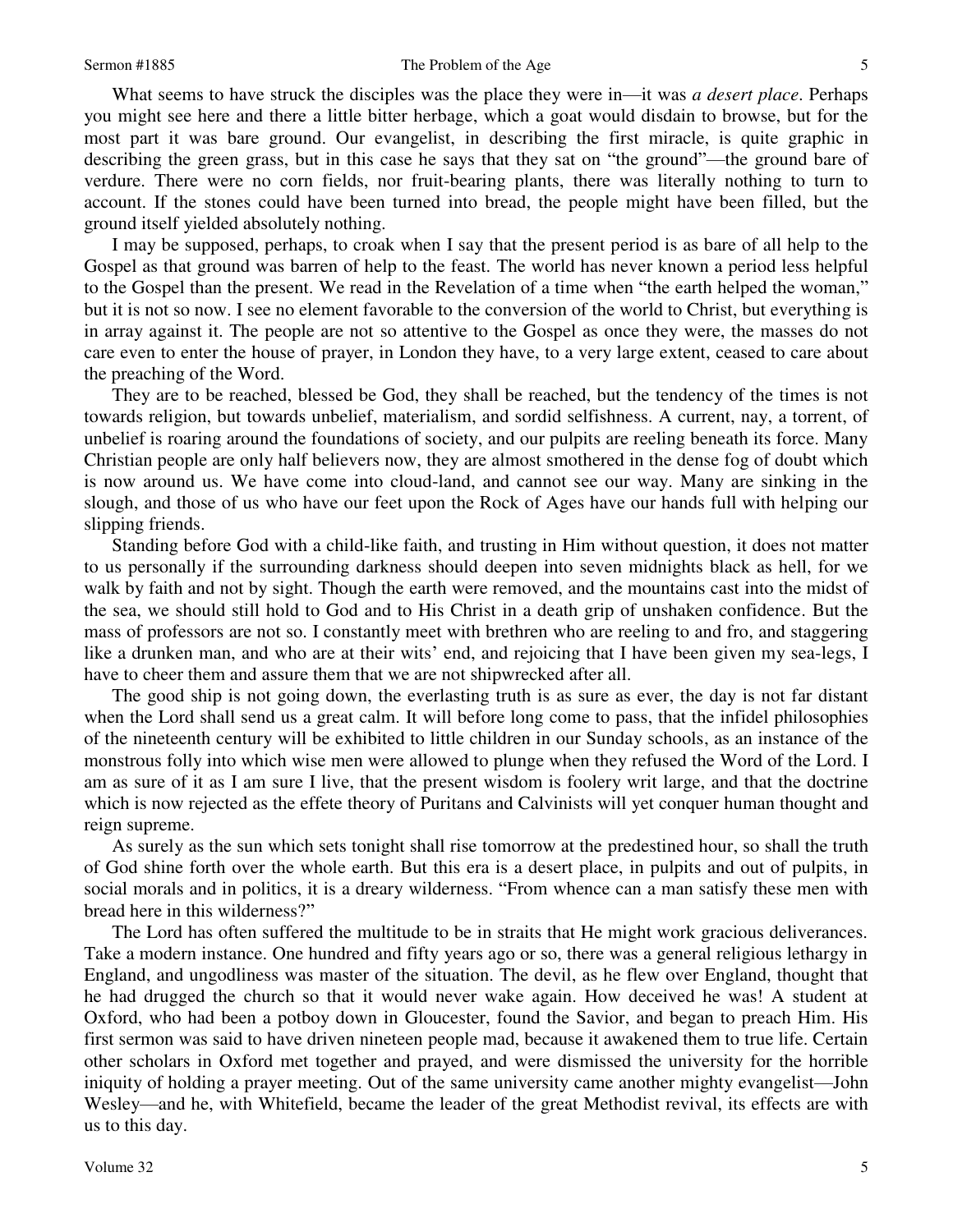What seems to have struck the disciples was the place they were in—it was *a desert place*. Perhaps you might see here and there a little bitter herbage, which a goat would disdain to browse, but for the most part it was bare ground. Our evangelist, in describing the first miracle, is quite graphic in describing the green grass, but in this case he says that they sat on "the ground"—the ground bare of verdure. There were no corn fields, nor fruit-bearing plants, there was literally nothing to turn to account. If the stones could have been turned into bread, the people might have been filled, but the ground itself yielded absolutely nothing.

 I may be supposed, perhaps, to croak when I say that the present period is as bare of all help to the Gospel as that ground was barren of help to the feast. The world has never known a period less helpful to the Gospel than the present. We read in the Revelation of a time when "the earth helped the woman," but it is not so now. I see no element favorable to the conversion of the world to Christ, but everything is in array against it. The people are not so attentive to the Gospel as once they were, the masses do not care even to enter the house of prayer, in London they have, to a very large extent, ceased to care about the preaching of the Word.

 They are to be reached, blessed be God, they shall be reached, but the tendency of the times is not towards religion, but towards unbelief, materialism, and sordid selfishness. A current, nay, a torrent, of unbelief is roaring around the foundations of society, and our pulpits are reeling beneath its force. Many Christian people are only half believers now, they are almost smothered in the dense fog of doubt which is now around us. We have come into cloud-land, and cannot see our way. Many are sinking in the slough, and those of us who have our feet upon the Rock of Ages have our hands full with helping our slipping friends.

 Standing before God with a child-like faith, and trusting in Him without question, it does not matter to us personally if the surrounding darkness should deepen into seven midnights black as hell, for we walk by faith and not by sight. Though the earth were removed, and the mountains cast into the midst of the sea, we should still hold to God and to His Christ in a death grip of unshaken confidence. But the mass of professors are not so. I constantly meet with brethren who are reeling to and fro, and staggering like a drunken man, and who are at their wits' end, and rejoicing that I have been given my sea-legs, I have to cheer them and assure them that we are not shipwrecked after all.

 The good ship is not going down, the everlasting truth is as sure as ever, the day is not far distant when the Lord shall send us a great calm. It will before long come to pass, that the infidel philosophies of the nineteenth century will be exhibited to little children in our Sunday schools, as an instance of the monstrous folly into which wise men were allowed to plunge when they refused the Word of the Lord. I am as sure of it as I am sure I live, that the present wisdom is foolery writ large, and that the doctrine which is now rejected as the effete theory of Puritans and Calvinists will yet conquer human thought and reign supreme.

 As surely as the sun which sets tonight shall rise tomorrow at the predestined hour, so shall the truth of God shine forth over the whole earth. But this era is a desert place, in pulpits and out of pulpits, in social morals and in politics, it is a dreary wilderness. "From whence can a man satisfy these men with bread here in this wilderness?"

 The Lord has often suffered the multitude to be in straits that He might work gracious deliverances. Take a modern instance. One hundred and fifty years ago or so, there was a general religious lethargy in England, and ungodliness was master of the situation. The devil, as he flew over England, thought that he had drugged the church so that it would never wake again. How deceived he was! A student at Oxford, who had been a potboy down in Gloucester, found the Savior, and began to preach Him. His first sermon was said to have driven nineteen people mad, because it awakened them to true life. Certain other scholars in Oxford met together and prayed, and were dismissed the university for the horrible iniquity of holding a prayer meeting. Out of the same university came another mighty evangelist—John Wesley—and he, with Whitefield, became the leader of the great Methodist revival, its effects are with us to this day.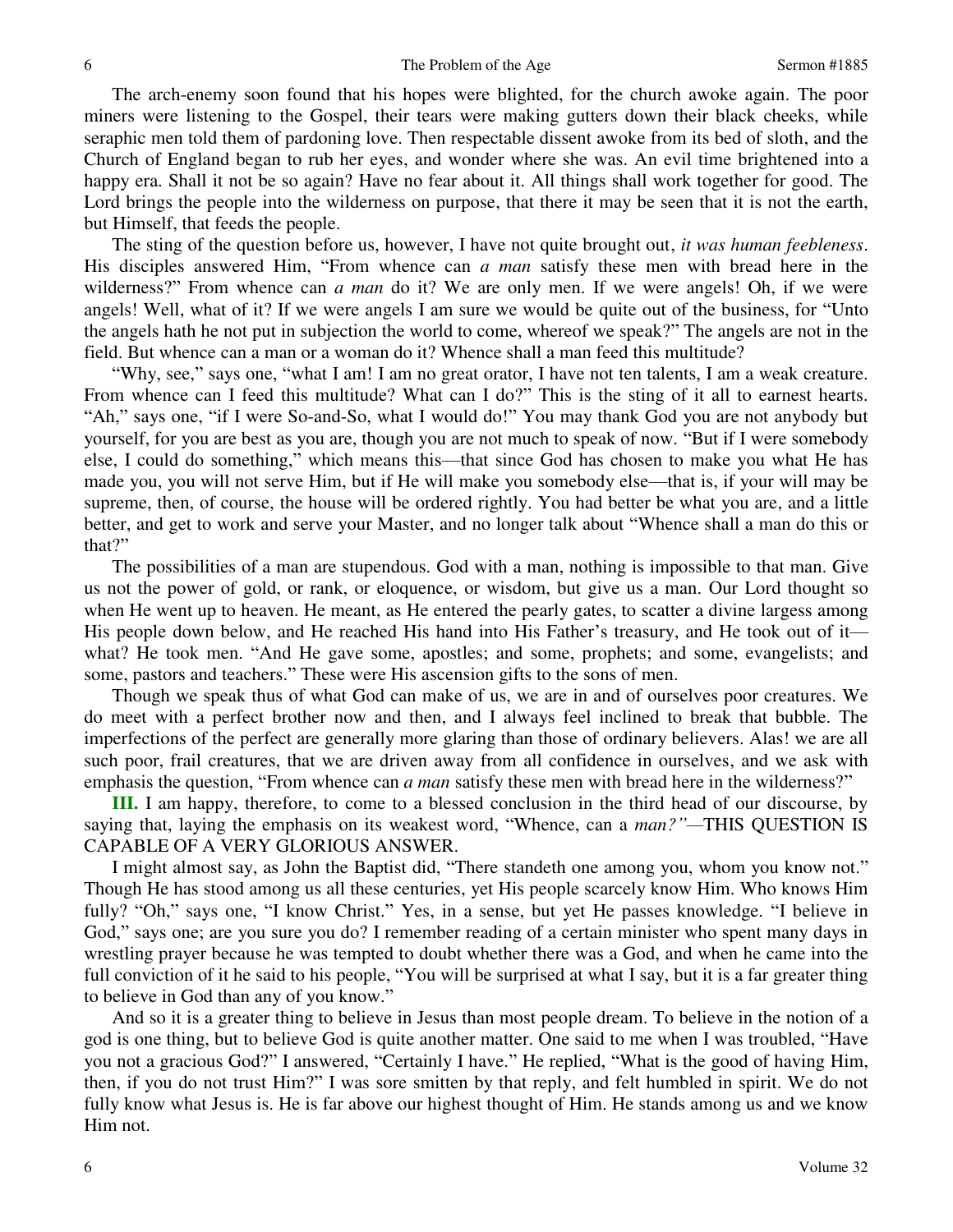The arch-enemy soon found that his hopes were blighted, for the church awoke again. The poor miners were listening to the Gospel, their tears were making gutters down their black cheeks, while seraphic men told them of pardoning love. Then respectable dissent awoke from its bed of sloth, and the Church of England began to rub her eyes, and wonder where she was. An evil time brightened into a happy era. Shall it not be so again? Have no fear about it. All things shall work together for good. The Lord brings the people into the wilderness on purpose, that there it may be seen that it is not the earth, but Himself, that feeds the people.

 The sting of the question before us, however, I have not quite brought out, *it was human feebleness*. His disciples answered Him, "From whence can *a man* satisfy these men with bread here in the wilderness?" From whence can *a man* do it? We are only men. If we were angels! Oh, if we were angels! Well, what of it? If we were angels I am sure we would be quite out of the business, for "Unto the angels hath he not put in subjection the world to come, whereof we speak?" The angels are not in the field. But whence can a man or a woman do it? Whence shall a man feed this multitude?

"Why, see," says one, "what I am! I am no great orator, I have not ten talents, I am a weak creature. From whence can I feed this multitude? What can I do?" This is the sting of it all to earnest hearts. "Ah," says one, "if I were So-and-So, what I would do!" You may thank God you are not anybody but yourself, for you are best as you are, though you are not much to speak of now. "But if I were somebody else, I could do something," which means this—that since God has chosen to make you what He has made you, you will not serve Him, but if He will make you somebody else—that is, if your will may be supreme, then, of course, the house will be ordered rightly. You had better be what you are, and a little better, and get to work and serve your Master, and no longer talk about "Whence shall a man do this or that?"

 The possibilities of a man are stupendous. God with a man, nothing is impossible to that man. Give us not the power of gold, or rank, or eloquence, or wisdom, but give us a man. Our Lord thought so when He went up to heaven. He meant, as He entered the pearly gates, to scatter a divine largess among His people down below, and He reached His hand into His Father's treasury, and He took out of it what? He took men. "And He gave some, apostles; and some, prophets; and some, evangelists; and some, pastors and teachers." These were His ascension gifts to the sons of men.

 Though we speak thus of what God can make of us, we are in and of ourselves poor creatures. We do meet with a perfect brother now and then, and I always feel inclined to break that bubble. The imperfections of the perfect are generally more glaring than those of ordinary believers. Alas! we are all such poor, frail creatures, that we are driven away from all confidence in ourselves, and we ask with emphasis the question, "From whence can *a man* satisfy these men with bread here in the wilderness?"

**III.** I am happy, therefore, to come to a blessed conclusion in the third head of our discourse, by saying that, laying the emphasis on its weakest word, "Whence, can a *man?"—*THIS QUESTION IS CAPABLE OF A VERY GLORIOUS ANSWER.

 I might almost say, as John the Baptist did, "There standeth one among you, whom you know not." Though He has stood among us all these centuries, yet His people scarcely know Him. Who knows Him fully? "Oh," says one, "I know Christ." Yes, in a sense, but yet He passes knowledge. "I believe in God," says one; are you sure you do? I remember reading of a certain minister who spent many days in wrestling prayer because he was tempted to doubt whether there was a God, and when he came into the full conviction of it he said to his people, "You will be surprised at what I say, but it is a far greater thing to believe in God than any of you know."

 And so it is a greater thing to believe in Jesus than most people dream. To believe in the notion of a god is one thing, but to believe God is quite another matter. One said to me when I was troubled, "Have you not a gracious God?" I answered, "Certainly I have." He replied, "What is the good of having Him, then, if you do not trust Him?" I was sore smitten by that reply, and felt humbled in spirit. We do not fully know what Jesus is. He is far above our highest thought of Him. He stands among us and we know Him not.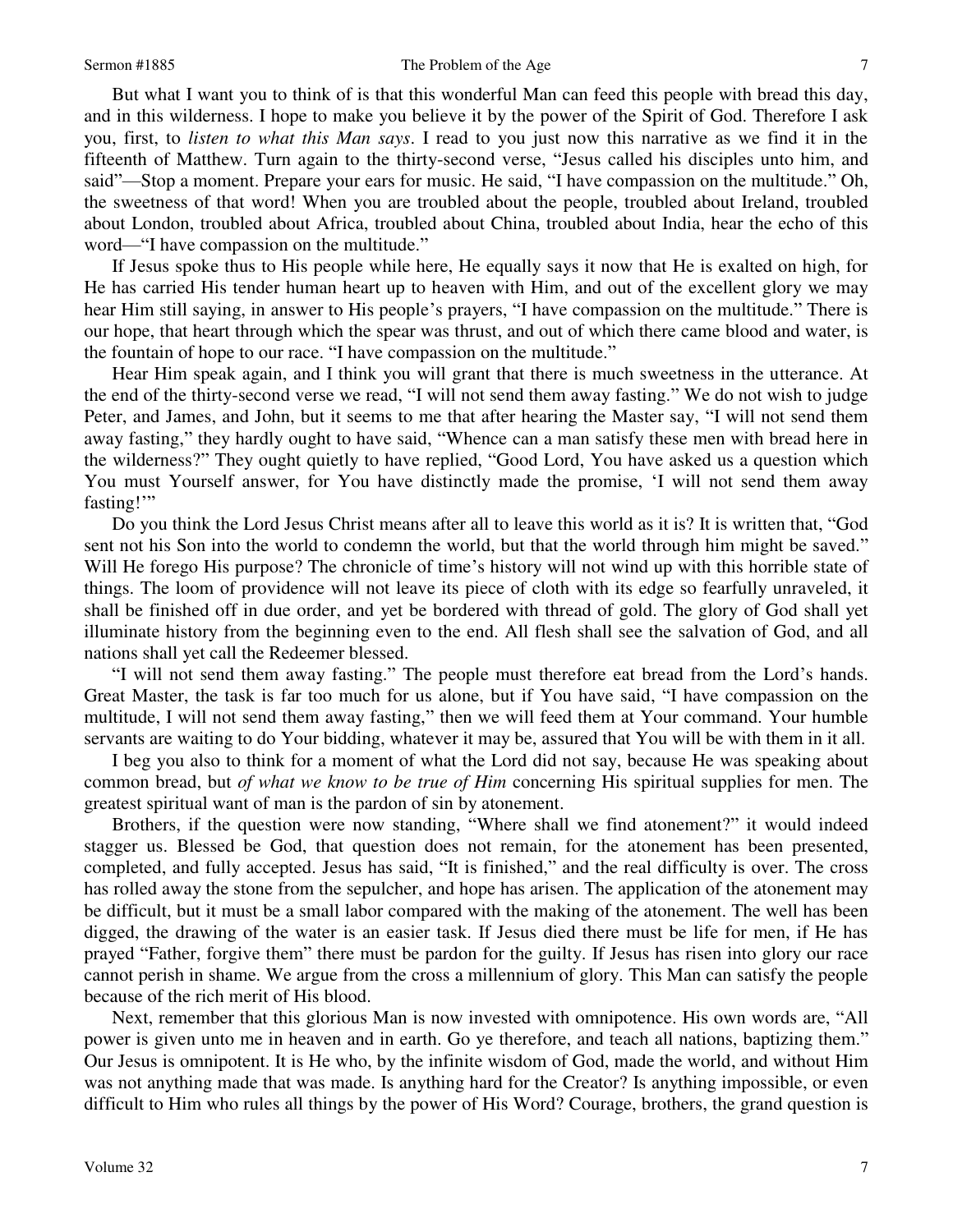### Sermon #1885 The Problem of the Age 7

 But what I want you to think of is that this wonderful Man can feed this people with bread this day, and in this wilderness. I hope to make you believe it by the power of the Spirit of God. Therefore I ask you, first, to *listen to what this Man says*. I read to you just now this narrative as we find it in the fifteenth of Matthew. Turn again to the thirty-second verse, "Jesus called his disciples unto him, and said"—Stop a moment. Prepare your ears for music. He said, "I have compassion on the multitude." Oh, the sweetness of that word! When you are troubled about the people, troubled about Ireland, troubled about London, troubled about Africa, troubled about China, troubled about India, hear the echo of this word—"I have compassion on the multitude."

 If Jesus spoke thus to His people while here, He equally says it now that He is exalted on high, for He has carried His tender human heart up to heaven with Him, and out of the excellent glory we may hear Him still saying, in answer to His people's prayers, "I have compassion on the multitude." There is our hope, that heart through which the spear was thrust, and out of which there came blood and water, is the fountain of hope to our race. "I have compassion on the multitude."

 Hear Him speak again, and I think you will grant that there is much sweetness in the utterance. At the end of the thirty-second verse we read, "I will not send them away fasting." We do not wish to judge Peter, and James, and John, but it seems to me that after hearing the Master say, "I will not send them away fasting," they hardly ought to have said, "Whence can a man satisfy these men with bread here in the wilderness?" They ought quietly to have replied, "Good Lord, You have asked us a question which You must Yourself answer, for You have distinctly made the promise, 'I will not send them away fasting!"

 Do you think the Lord Jesus Christ means after all to leave this world as it is? It is written that, "God sent not his Son into the world to condemn the world, but that the world through him might be saved." Will He forego His purpose? The chronicle of time's history will not wind up with this horrible state of things. The loom of providence will not leave its piece of cloth with its edge so fearfully unraveled, it shall be finished off in due order, and yet be bordered with thread of gold. The glory of God shall yet illuminate history from the beginning even to the end. All flesh shall see the salvation of God, and all nations shall yet call the Redeemer blessed.

"I will not send them away fasting." The people must therefore eat bread from the Lord's hands. Great Master, the task is far too much for us alone, but if You have said, "I have compassion on the multitude, I will not send them away fasting," then we will feed them at Your command. Your humble servants are waiting to do Your bidding, whatever it may be, assured that You will be with them in it all.

 I beg you also to think for a moment of what the Lord did not say, because He was speaking about common bread, but *of what we know to be true of Him* concerning His spiritual supplies for men. The greatest spiritual want of man is the pardon of sin by atonement.

 Brothers, if the question were now standing, "Where shall we find atonement?" it would indeed stagger us. Blessed be God, that question does not remain, for the atonement has been presented, completed, and fully accepted. Jesus has said, "It is finished," and the real difficulty is over. The cross has rolled away the stone from the sepulcher, and hope has arisen. The application of the atonement may be difficult, but it must be a small labor compared with the making of the atonement. The well has been digged, the drawing of the water is an easier task. If Jesus died there must be life for men, if He has prayed "Father, forgive them" there must be pardon for the guilty. If Jesus has risen into glory our race cannot perish in shame. We argue from the cross a millennium of glory. This Man can satisfy the people because of the rich merit of His blood.

 Next, remember that this glorious Man is now invested with omnipotence. His own words are, "All power is given unto me in heaven and in earth. Go ye therefore, and teach all nations, baptizing them." Our Jesus is omnipotent. It is He who, by the infinite wisdom of God, made the world, and without Him was not anything made that was made. Is anything hard for the Creator? Is anything impossible, or even difficult to Him who rules all things by the power of His Word? Courage, brothers, the grand question is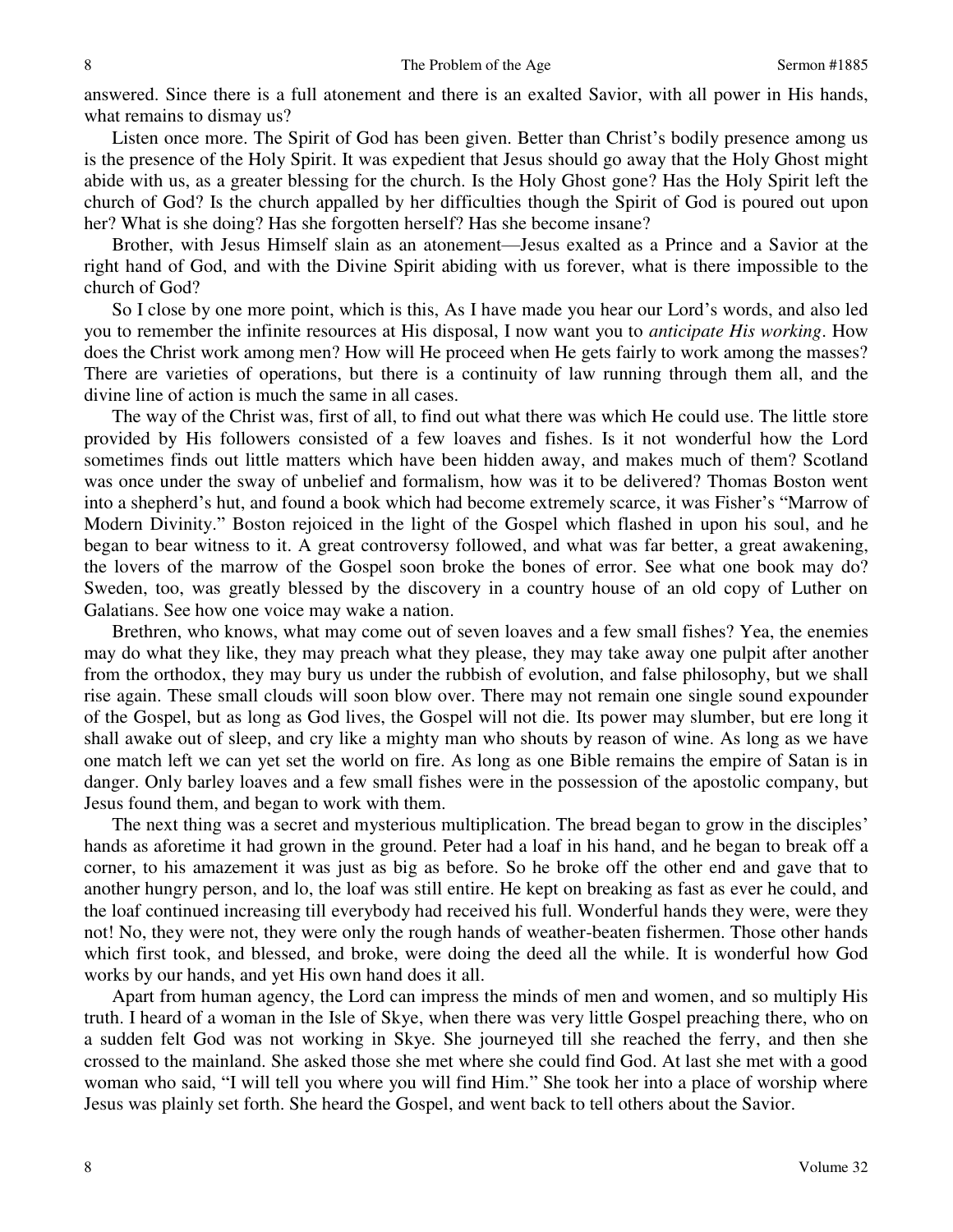answered. Since there is a full atonement and there is an exalted Savior, with all power in His hands, what remains to dismay us?

 Listen once more. The Spirit of God has been given. Better than Christ's bodily presence among us is the presence of the Holy Spirit. It was expedient that Jesus should go away that the Holy Ghost might abide with us, as a greater blessing for the church. Is the Holy Ghost gone? Has the Holy Spirit left the church of God? Is the church appalled by her difficulties though the Spirit of God is poured out upon her? What is she doing? Has she forgotten herself? Has she become insane?

 Brother, with Jesus Himself slain as an atonement—Jesus exalted as a Prince and a Savior at the right hand of God, and with the Divine Spirit abiding with us forever, what is there impossible to the church of God?

 So I close by one more point, which is this, As I have made you hear our Lord's words, and also led you to remember the infinite resources at His disposal, I now want you to *anticipate His working*. How does the Christ work among men? How will He proceed when He gets fairly to work among the masses? There are varieties of operations, but there is a continuity of law running through them all, and the divine line of action is much the same in all cases.

 The way of the Christ was, first of all, to find out what there was which He could use. The little store provided by His followers consisted of a few loaves and fishes. Is it not wonderful how the Lord sometimes finds out little matters which have been hidden away, and makes much of them? Scotland was once under the sway of unbelief and formalism, how was it to be delivered? Thomas Boston went into a shepherd's hut, and found a book which had become extremely scarce, it was Fisher's "Marrow of Modern Divinity." Boston rejoiced in the light of the Gospel which flashed in upon his soul, and he began to bear witness to it. A great controversy followed, and what was far better, a great awakening, the lovers of the marrow of the Gospel soon broke the bones of error. See what one book may do? Sweden, too, was greatly blessed by the discovery in a country house of an old copy of Luther on Galatians. See how one voice may wake a nation.

 Brethren, who knows, what may come out of seven loaves and a few small fishes? Yea, the enemies may do what they like, they may preach what they please, they may take away one pulpit after another from the orthodox, they may bury us under the rubbish of evolution, and false philosophy, but we shall rise again. These small clouds will soon blow over. There may not remain one single sound expounder of the Gospel, but as long as God lives, the Gospel will not die. Its power may slumber, but ere long it shall awake out of sleep, and cry like a mighty man who shouts by reason of wine. As long as we have one match left we can yet set the world on fire. As long as one Bible remains the empire of Satan is in danger. Only barley loaves and a few small fishes were in the possession of the apostolic company, but Jesus found them, and began to work with them.

 The next thing was a secret and mysterious multiplication. The bread began to grow in the disciples' hands as aforetime it had grown in the ground. Peter had a loaf in his hand, and he began to break off a corner, to his amazement it was just as big as before. So he broke off the other end and gave that to another hungry person, and lo, the loaf was still entire. He kept on breaking as fast as ever he could, and the loaf continued increasing till everybody had received his full. Wonderful hands they were, were they not! No, they were not, they were only the rough hands of weather-beaten fishermen. Those other hands which first took, and blessed, and broke, were doing the deed all the while. It is wonderful how God works by our hands, and yet His own hand does it all.

 Apart from human agency, the Lord can impress the minds of men and women, and so multiply His truth. I heard of a woman in the Isle of Skye, when there was very little Gospel preaching there, who on a sudden felt God was not working in Skye. She journeyed till she reached the ferry, and then she crossed to the mainland. She asked those she met where she could find God. At last she met with a good woman who said, "I will tell you where you will find Him." She took her into a place of worship where Jesus was plainly set forth. She heard the Gospel, and went back to tell others about the Savior.